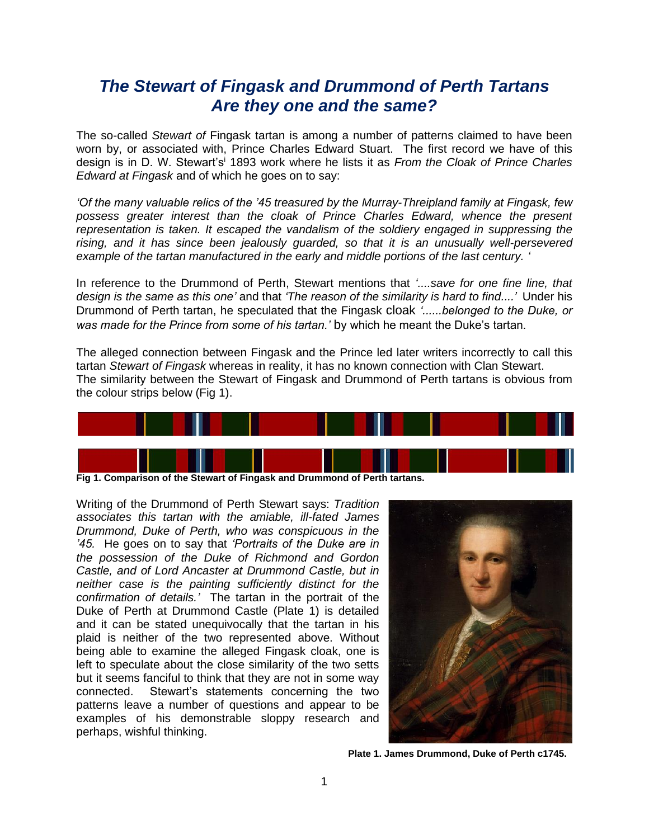## *The Stewart of Fingask and Drummond of Perth Tartans Are they one and the same?*

The so-called *Stewart of* Fingask tartan is among a number of patterns claimed to have been worn by, or associated with, Prince Charles Edward Stuart. The first record we have of this design is in D. W. Stewart's<sup>i</sup> 1893 work where he lists it as *From the Cloak of Prince Charles Edward at Fingask* and of which he goes on to say:

*'Of the many valuable relics of the '45 treasured by the Murray-Threipland family at Fingask, few*  possess greater interest than the cloak of Prince Charles Edward, whence the present *representation is taken. It escaped the vandalism of the soldiery engaged in suppressing the rising, and it has since been jealously guarded, so that it is an unusually well-persevered example of the tartan manufactured in the early and middle portions of the last century. '*

In reference to the Drummond of Perth, Stewart mentions that *'....save for one fine line, that design is the same as this one'* and that *'The reason of the similarity is hard to find....'* Under his Drummond of Perth tartan, he speculated that the Fingask cloak *'......belonged to the Duke, or was made for the Prince from some of his tartan.'* by which he meant the Duke's tartan.

The alleged connection between Fingask and the Prince led later writers incorrectly to call this tartan *Stewart of Fingask* whereas in reality, it has no known connection with Clan Stewart. The similarity between the Stewart of Fingask and Drummond of Perth tartans is obvious from the colour strips below (Fig 1).



**Fig 1. Comparison of the Stewart of Fingask and Drummond of Perth tartans.**

Writing of the Drummond of Perth Stewart says: *Tradition associates this tartan with the amiable, ill-fated James Drummond, Duke of Perth, who was conspicuous in the '45.* He goes on to say that *'Portraits of the Duke are in the possession of the Duke of Richmond and Gordon Castle, and of Lord Ancaster at Drummond Castle, but in neither case is the painting sufficiently distinct for the confirmation of details.'* The tartan in the portrait of the Duke of Perth at Drummond Castle (Plate 1) is detailed and it can be stated unequivocally that the tartan in his plaid is neither of the two represented above. Without being able to examine the alleged Fingask cloak, one is left to speculate about the close similarity of the two setts but it seems fanciful to think that they are not in some way connected. Stewart's statements concerning the two patterns leave a number of questions and appear to be examples of his demonstrable sloppy research and perhaps, wishful thinking.



**Plate 1. James Drummond, Duke of Perth c1745.**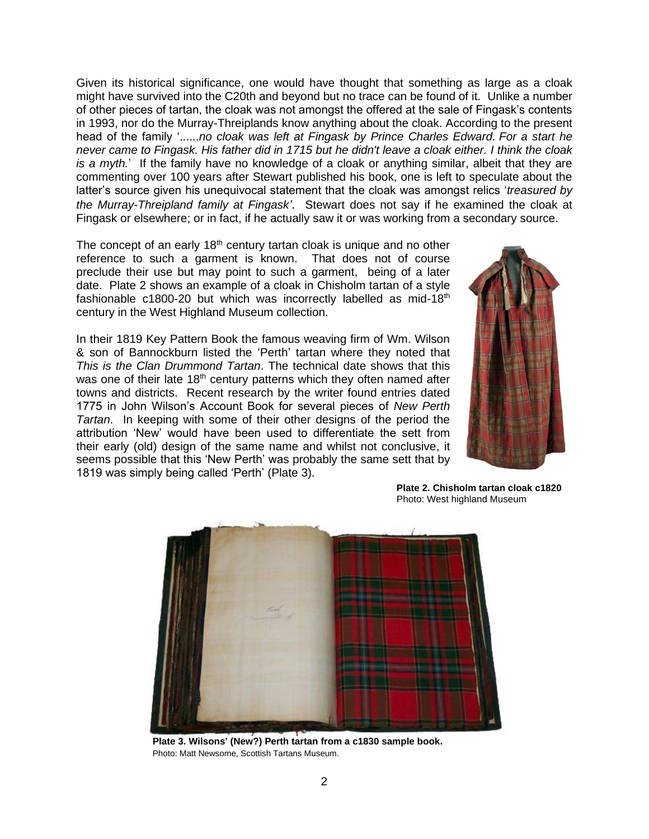Given its historical significance, one would have thought that something as large as a cloak might have survived into the C20th and beyond but no trace can be found of it. Unlike a number of other pieces of tartan, the cloak was not amongst the offered at the sale of Fingask's contents in 1993, nor do the Murray-Threiplands know anything about the cloak. According to the present head of the family '......*no cloak was left at Fingask by Prince Charles Edward. For a start he never came to Fingask. His father did in 1715 but he didn't leave a cloak either. I think the cloak is a myth.*' If the family have no knowledge of a cloak or anything similar, albeit that they are commenting over 100 years after Stewart published his book, one is left to speculate about the latter's source given his unequivocal statement that the cloak was amongst relics '*treasured by the Murray-Threipland family at Fingask'*. Stewart does not say if he examined the cloak at Fingask or elsewhere; or in fact, if he actually saw it or was working from a secondary source.

The concept of an early  $18<sup>th</sup>$  century tartan cloak is unique and no other reference to such a garment is known. That does not of course preclude their use but may point to such a garment, being of a later date. Plate 2 shows an example of a cloak in Chisholm tartan of a style fashionable  $c1800-20$  but which was incorrectly labelled as mid-18<sup>th</sup> century in the West Highland Museum collection.

In their 1819 Key Pattern Book the famous weaving firm of Wm. Wilson & son of Bannockburn listed the 'Perth' tartan where they noted that *This is the Clan Drummond Tartan*. The technical date shows that this was one of their late 18<sup>th</sup> century patterns which they often named after towns and districts. Recent research by the writer found entries dated 1775 in John Wilson's Account Book for several pieces of *New Perth Tartan*. In keeping with some of their other designs of the period the attribution 'New' would have been used to differentiate the sett from their early (old) design of the same name and whilst not conclusive, it seems possible that this 'New Perth' was probably the same sett that by 1819 was simply being called 'Perth' (Plate 3).



**Plate 2. Chisholm tartan cloak c1820** Photo: West highland Museum



**Plate 3. Wilsons' (New?) Perth tartan from a c1830 sample book.**  Photo: Matt Newsome, Scottish Tartans Museum.